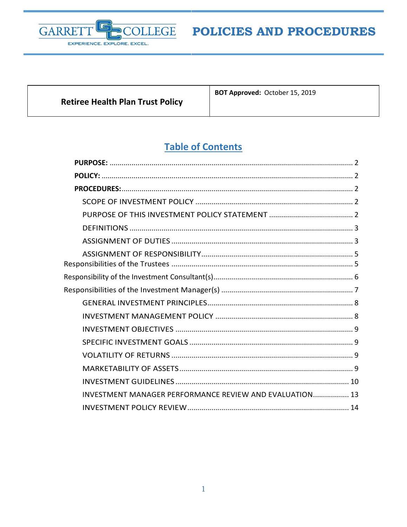

**Retiree Health Plan Trust Policy** 

**BOT Approved: October 15, 2019** 

# **Table of Contents**

| INVESTMENT MANAGER PERFORMANCE REVIEW AND EVALUATION 13 |
|---------------------------------------------------------|
|                                                         |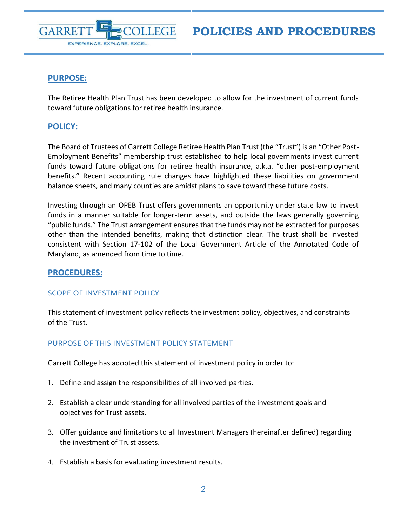



# <span id="page-1-0"></span>**PURPOSE:**

The Retiree Health Plan Trust has been developed to allow for the investment of current funds toward future obligations for retiree health insurance.

# <span id="page-1-1"></span>**POLICY:**

The Board of Trustees of Garrett College Retiree Health Plan Trust (the "Trust") is an "Other Post-Employment Benefits" membership trust established to help local governments invest current funds toward future obligations for retiree health insurance, a.k.a. "other post-employment benefits." Recent accounting rule changes have highlighted these liabilities on government balance sheets, and many counties are amidst plans to save toward these future costs.

Investing through an OPEB Trust offers governments an opportunity under state law to invest funds in a manner suitable for longer-term assets, and outside the laws generally governing "public funds." The Trust arrangement ensures that the funds may not be extracted for purposes other than the intended benefits, making that distinction clear. The trust shall be invested consistent with Section 17-102 of the Local Government Article of the Annotated Code of Maryland, as amended from time to time.

# <span id="page-1-2"></span>**PROCEDURES:**

# <span id="page-1-3"></span>SCOPE OF INVESTMENT POLICY

This statement of investment policy reflects the investment policy, objectives, and constraints of the Trust.

# <span id="page-1-4"></span>PURPOSE OF THIS INVESTMENT POLICY STATEMENT

Garrett College has adopted this statement of investment policy in order to:

- 1. Define and assign the responsibilities of all involved parties.
- 2. Establish a clear understanding for all involved parties of the investment goals and objectives for Trust assets.
- 3. Offer guidance and limitations to all Investment Managers (hereinafter defined) regarding the investment of Trust assets.
- 4. Establish a basis for evaluating investment results.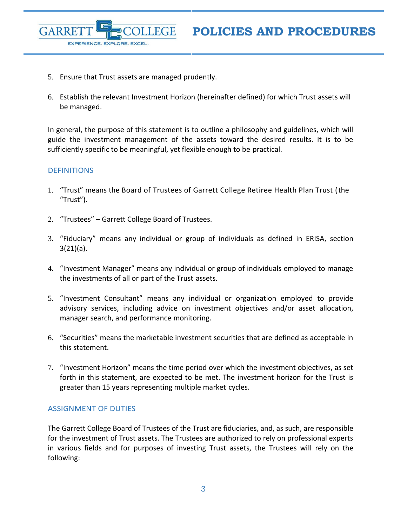5. Ensure that Trust assets are managed prudently.

EXPERIENCE. EXPLORE. EXCEL.

6. Establish the relevant Investment Horizon (hereinafter defined) for which Trust assets will be managed.

In general, the purpose of this statement is to outline a philosophy and guidelines, which will guide the investment management of the assets toward the desired results. It is to be sufficiently specific to be meaningful, yet flexible enough to be practical.

## <span id="page-2-0"></span>**DEFINITIONS**

GARRE

- 1. "Trust" means the Board of Trustees of Garrett College Retiree Health Plan Trust (the "Trust").
- 2. "Trustees" Garrett College Board of Trustees.
- 3. "Fiduciary" means any individual or group of individuals as defined in ERISA, section 3(21)(a).
- 4. "Investment Manager" means any individual or group of individuals employed to manage the investments of all or part of the Trust assets.
- 5. "Investment Consultant" means any individual or organization employed to provide advisory services, including advice on investment objectives and/or asset allocation, manager search, and performance monitoring.
- 6. "Securities" means the marketable investment securities that are defined as acceptable in this statement.
- 7. "Investment Horizon" means the time period over which the investment objectives, as set forth in this statement, are expected to be met. The investment horizon for the Trust is greater than 15 years representing multiple market cycles.

#### <span id="page-2-1"></span>ASSIGNMENT OF DUTIES

The Garrett College Board of Trustees of the Trust are fiduciaries, and, as such, are responsible for the investment of Trust assets. The Trustees are authorized to rely on professional experts in various fields and for purposes of investing Trust assets, the Trustees will rely on the following: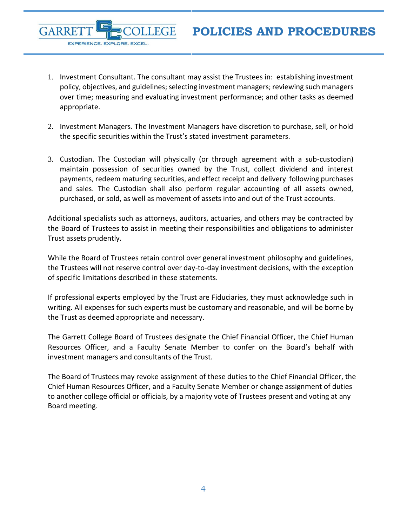1. Investment Consultant. The consultant may assist the Trustees in: establishing investment policy, objectives, and guidelines; selecting investment managers; reviewing such managers over time; measuring and evaluating investment performance; and other tasks as deemed appropriate.

**GARRE** 

EXPERIENCE. EXPLORE. EXCEL.

- 2. Investment Managers. The Investment Managers have discretion to purchase, sell, or hold the specific securities within the Trust's stated investment parameters.
- 3. Custodian. The Custodian will physically (or through agreement with a sub-custodian) maintain possession of securities owned by the Trust, collect dividend and interest payments, redeem maturing securities, and effect receipt and delivery following purchases and sales. The Custodian shall also perform regular accounting of all assets owned, purchased, or sold, as well as movement of assets into and out of the Trust accounts.

Additional specialists such as attorneys, auditors, actuaries, and others may be contracted by the Board of Trustees to assist in meeting their responsibilities and obligations to administer Trust assets prudently.

While the Board of Trustees retain control over general investment philosophy and guidelines, the Trustees will not reserve control over day-to-day investment decisions, with the exception of specific limitations described in these statements.

If professional experts employed by the Trust are Fiduciaries, they must acknowledge such in writing. All expenses for such experts must be customary and reasonable, and will be borne by the Trust as deemed appropriate and necessary.

The Garrett College Board of Trustees designate the Chief Financial Officer, the Chief Human Resources Officer, and a Faculty Senate Member to confer on the Board's behalf with investment managers and consultants of the Trust.

The Board of Trustees may revoke assignment of these duties to the Chief Financial Officer, the Chief Human Resources Officer, and a Faculty Senate Member or change assignment of duties to another college official or officials, by a majority vote of Trustees present and voting at any Board meeting.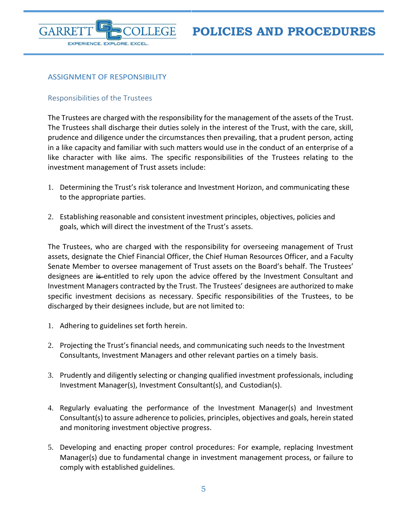

# <span id="page-4-0"></span>ASSIGNMENT OF RESPONSIBILITY

# <span id="page-4-1"></span>Responsibilities of the Trustees

The Trustees are charged with the responsibility for the management of the assets of the Trust. The Trustees shall discharge their duties solely in the interest of the Trust, with the care, skill, prudence and diligence under the circumstances then prevailing, that a prudent person, acting in a like capacity and familiar with such matters would use in the conduct of an enterprise of a like character with like aims. The specific responsibilities of the Trustees relating to the investment management of Trust assets include:

- 1. Determining the Trust's risk tolerance and Investment Horizon, and communicating these to the appropriate parties.
- 2. Establishing reasonable and consistent investment principles, objectives, policies and goals, which will direct the investment of the Trust's assets.

The Trustees, who are charged with the responsibility for overseeing management of Trust assets, designate the Chief Financial Officer, the Chief Human Resources Officer, and a Faculty Senate Member to oversee management of Trust assets on the Board's behalf. The Trustees' designees are is-entitled to rely upon the advice offered by the Investment Consultant and Investment Managers contracted by the Trust. The Trustees' designees are authorized to make specific investment decisions as necessary. Specific responsibilities of the Trustees, to be discharged by their designees include, but are not limited to:

- 1. Adhering to guidelines set forth herein.
- 2. Projecting the Trust's financial needs, and communicating such needs to the Investment Consultants, Investment Managers and other relevant parties on a timely basis.
- 3. Prudently and diligently selecting or changing qualified investment professionals, including Investment Manager(s), Investment Consultant(s), and Custodian(s).
- 4. Regularly evaluating the performance of the Investment Manager(s) and Investment Consultant(s) to assure adherence to policies, principles, objectives and goals, herein stated and monitoring investment objective progress.
- 5. Developing and enacting proper control procedures: For example, replacing Investment Manager(s) due to fundamental change in investment management process, or failure to comply with established guidelines.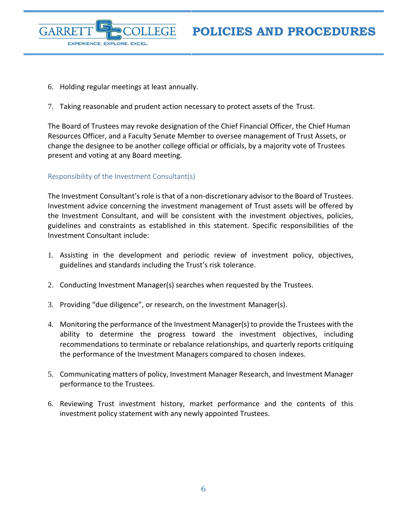

- 6. Holding regular meetings at least annually.
- 7. Taking reasonable and prudent action necessary to protect assets of the Trust.

The Board of Trustees may revoke designation of the Chief Financial Officer, the Chief Human Resources Officer, and a Faculty Senate Member to oversee management of Trust Assets, or change the designee to be another college official or officials, by a majority vote of Trustees present and voting at any Board meeting.

## <span id="page-5-0"></span>Responsibility of the Investment Consultant(s)

The Investment Consultant's role is that of a non-discretionary advisor to the Board of Trustees. Investment advice concerning the investment management of Trust assets will be offered by the Investment Consultant, and will be consistent with the investment objectives, policies, guidelines and constraints as established in this statement. Specific responsibilities of the Investment Consultant include:

- 1. Assisting in the development and periodic review of investment policy, objectives, guidelines and standards including the Trust's risk tolerance.
- 2. Conducting Investment Manager(s) searches when requested by the Trustees.
- 3. Providing "due diligence", or research, on the Investment Manager(s).
- 4. Monitoring the performance of the Investment Manager(s) to provide the Trustees with the ability to determine the progress toward the investment objectives, including recommendations to terminate or rebalance relationships, and quarterly reports critiquing the performance of the Investment Managers compared to chosen indexes.
- 5. Communicating matters of policy, Investment Manager Research, and Investment Manager performance to the Trustees.
- 6. Reviewing Trust investment history, market performance and the contents of this investment policy statement with any newly appointed Trustees.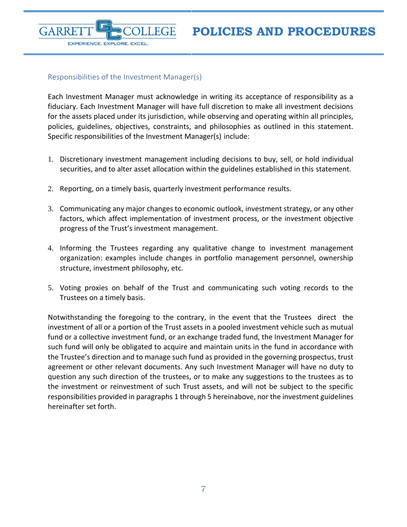#### <span id="page-6-0"></span>Responsibilities of the Investment Manager(s)

EXPERIENCE. EXPLORE. EXCEL.

GARRE

Each Investment Manager must acknowledge in writing its acceptance of responsibility as a fiduciary. Each Investment Manager will have full discretion to make all investment decisions for the assets placed under its jurisdiction, while observing and operating within all principles, policies, guidelines, objectives, constraints, and philosophies as outlined in this statement. Specific responsibilities of the Investment Manager(s) include:

- 1. Discretionary investment management including decisions to buy, sell, or hold individual securities, and to alter asset allocation within the guidelines established in this statement.
- 2. Reporting, on a timely basis, quarterly investment performance results.
- 3. Communicating any major changes to economic outlook, investment strategy, or any other factors, which affect implementation of investment process, or the investment objective progress of the Trust's investment management.
- 4. Informing the Trustees regarding any qualitative change to investment management organization: examples include changes in portfolio management personnel, ownership structure, investment philosophy, etc.
- 5. Voting proxies on behalf of the Trust and communicating such voting records to the Trustees on a timely basis.

Notwithstanding the foregoing to the contrary, in the event that the Trustees direct the investment of all or a portion of the Trust assets in a pooled investment vehicle such as mutual fund or a collective investment fund, or an exchange traded fund, the Investment Manager for such fund will only be obligated to acquire and maintain units in the fund in accordance with the Trustee's direction and to manage such fund as provided in the governing prospectus, trust agreement or other relevant documents. Any such Investment Manager will have no duty to question any such direction of the trustees, or to make any suggestions to the trustees as to the investment or reinvestment of such Trust assets, and will not be subject to the specific responsibilities provided in paragraphs 1 through 5 hereinabove, nor the investment guidelines hereinafter set forth.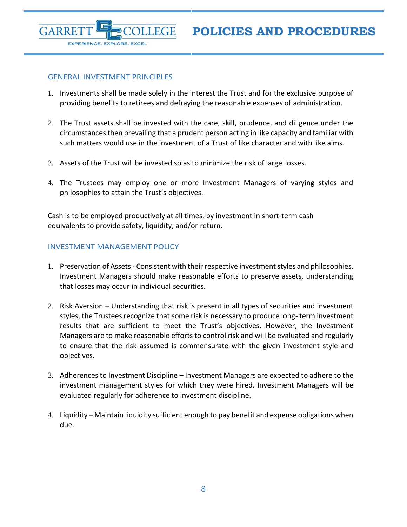#### <span id="page-7-0"></span>GENERAL INVESTMENT PRINCIPLES

EXPERIENCE. EXPLORE. EXCEL.

**GARRE** 

- 1. Investments shall be made solely in the interest the Trust and for the exclusive purpose of providing benefits to retirees and defraying the reasonable expenses of administration.
- 2. The Trust assets shall be invested with the care, skill, prudence, and diligence under the circumstances then prevailing that a prudent person acting in like capacity and familiar with such matters would use in the investment of a Trust of like character and with like aims.
- 3. Assets of the Trust will be invested so as to minimize the risk of large losses.
- 4. The Trustees may employ one or more Investment Managers of varying styles and philosophies to attain the Trust's objectives.

Cash is to be employed productively at all times, by investment in short-term cash equivalents to provide safety, liquidity, and/or return.

# <span id="page-7-1"></span>INVESTMENT MANAGEMENT POLICY

- 1. Preservation of Assets Consistent with their respective investment styles and philosophies, Investment Managers should make reasonable efforts to preserve assets, understanding that losses may occur in individual securities.
- 2. Risk Aversion Understanding that risk is present in all types of securities and investment styles, the Trustees recognize that some risk is necessary to produce long- term investment results that are sufficient to meet the Trust's objectives. However, the Investment Managers are to make reasonable efforts to control risk and will be evaluated and regularly to ensure that the risk assumed is commensurate with the given investment style and objectives.
- 3. Adherences to Investment Discipline Investment Managers are expected to adhere to the investment management styles for which they were hired. Investment Managers will be evaluated regularly for adherence to investment discipline.
- 4. Liquidity Maintain liquidity sufficient enough to pay benefit and expense obligations when due.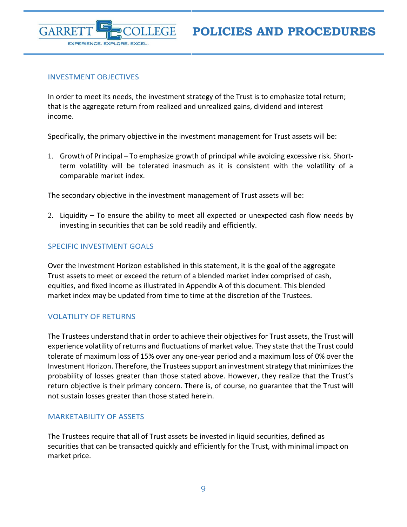

# <span id="page-8-0"></span>INVESTMENT OBJECTIVES

In order to meet its needs, the investment strategy of the Trust is to emphasize total return; that is the aggregate return from realized and unrealized gains, dividend and interest income.

Specifically, the primary objective in the investment management for Trust assets will be:

1. Growth of Principal – To emphasize growth of principal while avoiding excessive risk. Shortterm volatility will be tolerated inasmuch as it is consistent with the volatility of a comparable market index.

The secondary objective in the investment management of Trust assets will be:

2. Liquidity – To ensure the ability to meet all expected or unexpected cash flow needs by investing in securities that can be sold readily and efficiently.

# <span id="page-8-1"></span>SPECIFIC INVESTMENT GOALS

Over the Investment Horizon established in this statement, it is the goal of the aggregate Trust assets to meet or exceed the return of a blended market index comprised of cash, equities, and fixed income as illustrated in Appendix A of this document. This blended market index may be updated from time to time at the discretion of the Trustees.

# <span id="page-8-2"></span>VOLATILITY OF RETURNS

The Trustees understand that in order to achieve their objectives for Trust assets, the Trust will experience volatility of returns and fluctuations of market value. They state that the Trust could tolerate of maximum loss of 15% over any one-year period and a maximum loss of 0% over the Investment Horizon. Therefore, the Trustees support an investment strategy that minimizes the probability of losses greater than those stated above. However, they realize that the Trust's return objective is their primary concern. There is, of course, no guarantee that the Trust will not sustain losses greater than those stated herein.

# <span id="page-8-3"></span>MARKETABILITY OF ASSETS

The Trustees require that all of Trust assets be invested in liquid securities, defined as securities that can be transacted quickly and efficiently for the Trust, with minimal impact on market price.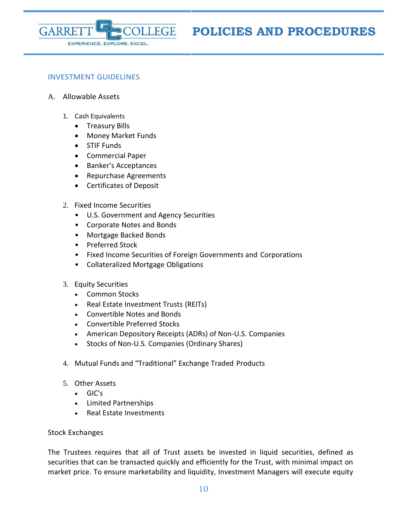

## <span id="page-9-0"></span>INVESTMENT GUIDELINES

- A. Allowable Assets
	- 1. Cash Equivalents
		- Treasury Bills
		- Money Market Funds
		- STIF Funds
		- Commercial Paper
		- Banker's Acceptances
		- Repurchase Agreements
		- Certificates of Deposit
	- 2. Fixed Income Securities
		- U.S. Government and Agency Securities
		- Corporate Notes and Bonds
		- Mortgage Backed Bonds
		- Preferred Stock
		- Fixed Income Securities of Foreign Governments and Corporations
		- Collateralized Mortgage Obligations
	- 3. Equity Securities
		- Common Stocks
		- Real Estate Investment Trusts (REITs)
		- Convertible Notes and Bonds
		- Convertible Preferred Stocks
		- American Depository Receipts (ADRs) of Non-U.S. Companies
		- Stocks of Non-U.S. Companies (Ordinary Shares)
	- 4. Mutual Funds and "Traditional" Exchange Traded Products
	- 5. Other Assets
		- GIC's
		- Limited Partnerships
		- Real Estate Investments

#### Stock Exchanges

The Trustees requires that all of Trust assets be invested in liquid securities, defined as securities that can be transacted quickly and efficiently for the Trust, with minimal impact on market price. To ensure marketability and liquidity, Investment Managers will execute equity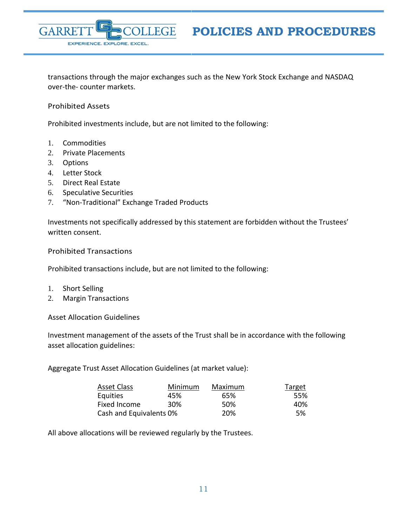

transactions through the major exchanges such as the New York Stock Exchange and NASDAQ over-the- counter markets.

Prohibited Assets

Prohibited investments include, but are not limited to the following:

- 1. Commodities
- 2. Private Placements
- 3. Options
- 4. Letter Stock
- 5. Direct Real Estate
- 6. Speculative Securities
- 7. "Non-Traditional" Exchange Traded Products

Investments not specifically addressed by this statement are forbidden without the Trustees' written consent.

#### Prohibited Transactions

Prohibited transactions include, but are not limited to the following:

- 1. Short Selling
- 2. Margin Transactions

Asset Allocation Guidelines

Investment management of the assets of the Trust shall be in accordance with the following asset allocation guidelines:

Aggregate Trust Asset Allocation Guidelines (at market value):

| <b>Asset Class</b>      | Minimum | Maximum | Target |
|-------------------------|---------|---------|--------|
| Equities                | 45%     | 65%     | 55%    |
| Fixed Income            | 30%     | 50%     | 40%    |
| Cash and Equivalents 0% |         | 20%     | .5%    |

All above allocations will be reviewed regularly by the Trustees.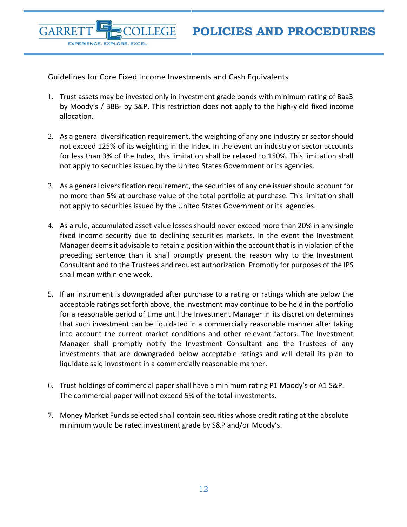Guidelines for Core Fixed Income Investments and Cash Equivalents

**FGF** 

GARRF

EXPERIENCE. EXPLORE. EXCEL.

- 1. Trust assets may be invested only in investment grade bonds with minimum rating of Baa3 by Moody's / BBB- by S&P. This restriction does not apply to the high-yield fixed income allocation.
- 2. As a general diversification requirement, the weighting of any one industry or sector should not exceed 125% of its weighting in the Index. In the event an industry or sector accounts for less than 3% of the Index, this limitation shall be relaxed to 150%. This limitation shall not apply to securities issued by the United States Government or its agencies.
- 3. As a general diversification requirement, the securities of any one issuer should account for no more than 5% at purchase value of the total portfolio at purchase. This limitation shall not apply to securities issued by the United States Government or its agencies.
- 4. As a rule, accumulated asset value losses should never exceed more than 20% in any single fixed income security due to declining securities markets. In the event the Investment Manager deems it advisable to retain a position within the account that is in violation of the preceding sentence than it shall promptly present the reason why to the Investment Consultant and to the Trustees and request authorization. Promptly for purposes of the IPS shall mean within one week.
- 5. If an instrument is downgraded after purchase to a rating or ratings which are below the acceptable ratings set forth above, the investment may continue to be held in the portfolio for a reasonable period of time until the Investment Manager in its discretion determines that such investment can be liquidated in a commercially reasonable manner after taking into account the current market conditions and other relevant factors. The Investment Manager shall promptly notify the Investment Consultant and the Trustees of any investments that are downgraded below acceptable ratings and will detail its plan to liquidate said investment in a commercially reasonable manner.
- 6. Trust holdings of commercial paper shall have a minimum rating P1 Moody's or A1 S&P. The commercial paper will not exceed 5% of the total investments.
- 7. Money Market Funds selected shall contain securities whose credit rating at the absolute minimum would be rated investment grade by S&P and/or Moody's.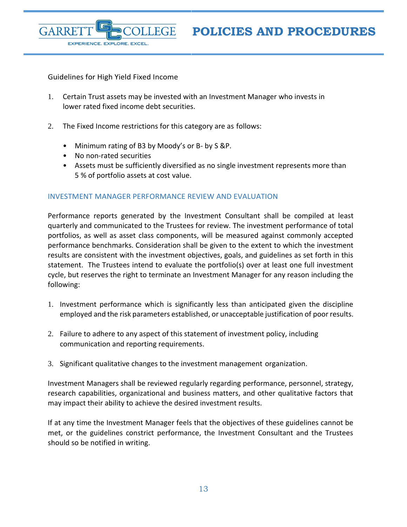Guidelines for High Yield Fixed Income

EXPERIENCE. EXPLORE. EXCEL.

**GARRE** 

- 1. Certain Trust assets may be invested with an Investment Manager who invests in lower rated fixed income debt securities.
- 2. The Fixed Income restrictions for this category are as follows:
	- Minimum rating of B3 by Moody's or B- by S &P.
	- No non-rated securities
	- Assets must be sufficiently diversified as no single investment represents more than 5 % of portfolio assets at cost value.

## <span id="page-12-0"></span>INVESTMENT MANAGER PERFORMANCE REVIEW AND EVALUATION

Performance reports generated by the Investment Consultant shall be compiled at least quarterly and communicated to the Trustees for review. The investment performance of total portfolios, as well as asset class components, will be measured against commonly accepted performance benchmarks. Consideration shall be given to the extent to which the investment results are consistent with the investment objectives, goals, and guidelines as set forth in this statement. The Trustees intend to evaluate the portfolio(s) over at least one full investment cycle, but reserves the right to terminate an Investment Manager for any reason including the following:

- 1. Investment performance which is significantly less than anticipated given the discipline employed and the risk parameters established, or unacceptable justification of poor results.
- 2. Failure to adhere to any aspect of this statement of investment policy, including communication and reporting requirements.
- 3. Significant qualitative changes to the investment management organization.

Investment Managers shall be reviewed regularly regarding performance, personnel, strategy, research capabilities, organizational and business matters, and other qualitative factors that may impact their ability to achieve the desired investment results.

If at any time the Investment Manager feels that the objectives of these guidelines cannot be met, or the guidelines constrict performance, the Investment Consultant and the Trustees should so be notified in writing.